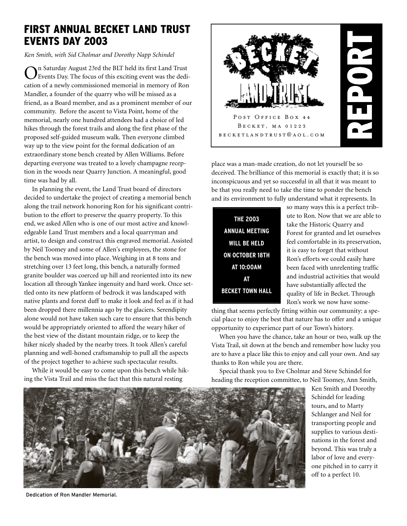# FIRST ANNUAL BECKET LAND TRUST EVENTS DAY 2003

*Ken Smith, with Sid Cholmar and Dorothy Napp Schindel*

On Saturday August 23rd the BLT held its first Land Trust Events Day. The focus of this exciting event was the dedication of a newly commissioned memorial in memory of Ron Mandler, a founder of the quarry who will be missed as a friend, as a Board member, and as a prominent member of our community. Before the ascent to Vista Point, home of the memorial, nearly one hundred attendees had a choice of led hikes through the forest trails and along the first phase of the proposed self-guided museum walk. Then everyone climbed way up to the view point for the formal dedication of an extraordinary stone bench created by Allen Williams. Before departing everyone was treated to a lovely champagne reception in the woods near Quarry Junction. A meaningful, good time was had by all.

In planning the event, the Land Trust board of directors decided to undertake the project of creating a memorial bench along the trail network honoring Ron for his significant contribution to the effort to preserve the quarry property. To this end, we asked Allen who is one of our most active and knowledgeable Land Trust members and a local quarryman and artist, to design and construct this engraved memorial. Assisted by Neil Toomey and some of Allen's employees, the stone for the bench was moved into place. Weighing in at 8 tons and stretching over 13 feet long, this bench, a naturally formed granite boulder was coerced up hill and reoriented into its new location all through Yankee ingenuity and hard work. Once settled onto its new platform of bedrock it was landscaped with native plants and forest duff to make it look and feel as if it had been dropped there millennia ago by the glaciers. Serendipity alone would not have taken such care to ensure that this bench would be appropriately oriented to afford the weary hiker of the best view of the distant mountain ridge, or to keep the hiker nicely shaded by the nearby trees. It took Allen's careful planning and well-honed craftsmanship to pull all the aspects of the project together to achieve such spectacular results.

While it would be easy to come upon this bench while hiking the Vista Trail and miss the fact that this natural resting



place was a man-made creation, do not let yourself be so deceived. The brilliance of this memorial is exactly that; it is so inconspicuous and yet so successful in all that it was meant to be that you really need to take the time to ponder the bench and its environment to fully understand what it represents. In

| <b>THE 2003</b>         |
|-------------------------|
| ANNUAL MEETING          |
| <b>WILL BE HELD</b>     |
| <b>ON OCTOBER 18TH</b>  |
| AT 10:00AM              |
| AT                      |
| <b>BECKET TOWN HALL</b> |

so many ways this is a perfect tribute to Ron. Now that we are able to take the Historic Quarry and Forest for granted and let ourselves feel comfortable in its preservation, it is easy to forget that without Ron's efforts we could easily have been faced with unrelenting traffic and industrial activities that would have substantially affected the quality of life in Becket. Through Ron's work we now have some-

thing that seems perfectly fitting within our community: a special place to enjoy the best that nature has to offer and a unique opportunity to experience part of our Town's history.

When you have the chance, take an hour or two, walk up the Vista Trail, sit down at the bench and remember how lucky you are to have a place like this to enjoy and call your own. And say thanks to Ron while you are there.

Special thank you to Eve Cholmar and Steve Schindel for heading the reception committee, to Neil Toomey, Ann Smith,



Dedication of Ron Mandler Memorial.

Ken Smith and Dorothy Schindel for leading tours, and to Marty Schlanger and Neil for transporting people and supplies to various destinations in the forest and beyond. This was truly a labor of love and everyone pitched in to carry it off to a perfect 10.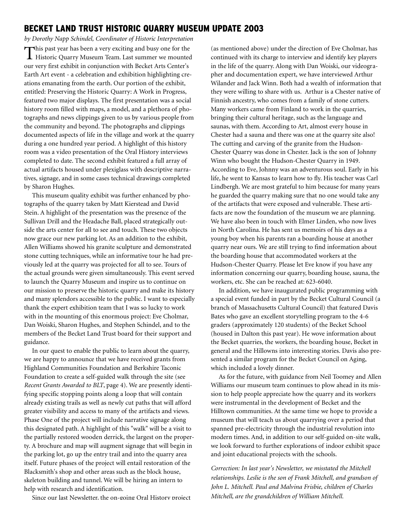### BECKET LAND TRUST HISTORIC QUARRY MUSEUM UPDATE 2003

*by Dorothy Napp Schindel, Coordinator of Historic Interpretation*

This past year has been a very exciting and busy one for the Historic Quarry Museum Team. Last summer we mounted our very first exhibit in conjunction with Becket Arts Center's Earth Art event - a celebration and exhibition highlighting creations emanating from the earth. Our portion of the exhibit, entitled: Preserving the Historic Quarry: A Work in Progress, featured two major displays. The first presentation was a social history room filled with maps, a model, and a plethora of photographs and news clippings given to us by various people from the community and beyond. The photographs and clippings documented aspects of life in the village and work at the quarry during a one hundred year period. A highlight of this history room was a video presentation of the Oral History interviews completed to date. The second exhibit featured a full array of actual artifacts housed under plexiglass with descriptive narratives, signage, and in some cases technical drawings completed by Sharon Hughes.

This museum quality exhibit was further enhanced by photographs of the quarry taken by Matt Kierstead and David Stein. A highlight of the presentation was the presence of the Sullivan Drill and the Headache Ball, placed strategically outside the arts center for all to see and touch. These two objects now grace our new parking lot. As an addition to the exhibit, Allen Williams showed his granite sculpture and demonstrated stone cutting techniques, while an informative tour he had previously led at the quarry was projected for all to see. Tours of the actual grounds were given simultaneously. This event served to launch the Quarry Museum and inspire us to continue on our mission to preserve the historic quarry and make its history and many splendors accessible to the public. I want to especially thank the expert exhibition team that I was so lucky to work with in the mounting of this enormous project: Eve Cholmar, Dan Woiski, Sharon Hughes, and Stephen Schindel, and to the members of the Becket Land Trust board for their support and guidance.

In our quest to enable the public to learn about the quarry, we are happy to announce that we have received grants from Highland Communities Foundation and Berkshire Taconic Foundation to create a self-guided walk through the site (see *Recent Grants Awarded to BLT*, page 4). We are presently identifying specific stopping points along a loop that will contain already existing trails as well as newly cut paths that will afford greater visibility and access to many of the artifacts and views. Phase One of the project will include narrative signage along this designated path. A highlight of this "walk" will be a visit to the partially restored wooden derrick, the largest on the property. A brochure and map will augment signage that will begin in the parking lot, go up the entry trail and into the quarry area itself. Future phases of the project will entail restoration of the Blacksmith's shop and other areas such as the block house, skeleton building and tunnel. We will be hiring an intern to help with research and identification.

Since our last Newsletter, the on-going Oral History project

(as mentioned above) under the direction of Eve Cholmar, has continued with its charge to interview and identify key players in the life of the quarry. Along with Dan Woiski, our videographer and documentation expert, we have interviewed Arthur Wilander and Jack Winn. Both had a wealth of information that they were willing to share with us. Arthur is a Chester native of Finnish ancestry, who comes from a family of stone cutters. Many workers came from Finland to work in the quarries, bringing their cultural heritage, such as the language and saunas, with them. According to Art, almost every house in Chester had a sauna and there was one at the quarry site also! The cutting and carving of the granite from the Hudson-Chester Quarry was done in Chester. Jack is the son of Johnny Winn who bought the Hudson-Chester Quarry in 1949. According to Eve, Johnny was an adventurous soul. Early in his life, he went to Kansas to learn how to fly. His teacher was Carl Lindbergh. We are most grateful to him because for many years he guarded the quarry making sure that no one would take any of the artifacts that were exposed and vulnerable. These artifacts are now the foundation of the museum we are planning. We have also been in touch with Elmer Linden, who now lives in North Carolina. He has sent us memoirs of his days as a young boy when his parents ran a boarding house at another quarry near ours. We are still trying to find information about the boarding house that accommodated workers at the Hudson-Chester Quarry. Please let Eve know if you have any information concerning our quarry, boarding house, sauna, the workers, etc. She can be reached at: 623-6040.

In addition, we have inaugurated public programming with a special event funded in part by the Becket Cultural Council (a branch of Massachusetts Cultural Council) that featured Davis Bates who gave an excellent storytelling program to the 4-6 graders (approximately 120 students) of the Becket School (housed in Dalton this past year). He wove information about the Becket quarries, the workers, the boarding house, Becket in general and the Hillowns into interesting stories. Davis also presented a similar program for the Becket Council on Aging, which included a lovely dinner.

As for the future, with guidance from Neil Toomey and Allen Williams our museum team continues to plow ahead in its mission to help people appreciate how the quarry and its workers were instrumental in the development of Becket and the Hilltown communities. At the same time we hope to provide a museum that will teach us about quarrying over a period that spanned pre-electricity through the industrial revolution into modern times. And, in addition to our self-guided on-site walk, we look forward to further explorations of indoor exhibit space and joint educational projects with the schools.

*Correction: In last year's Newsletter, we misstated the Mitchell relationships. Leslie is the son of Frank Mitchell, and grandson of John L. Mitchell. Paul and Malvina Frisbie, children of Charles Mitchell, are the grandchildren of William Mitchell.*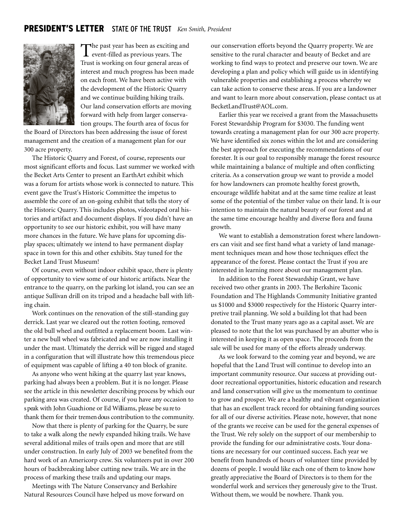### PRESIDENT'S LETTER STATE OF THE TRUST *Ken Smith, President*



The past year has been as exciting and<br>event-filled as previous years. The Trust is working on four general areas of interest and much progress has been made on each front. We have been active with the development of the Historic Quarry and we continue building hiking trails. Our land conservation efforts are moving forward with help from larger conservation groups. The fourth area of focus for

the Board of Directors has been addressing the issue of forest management and the creation of a management plan for our 300 acre property.

The Historic Quarry and Forest, of course, represents our most significant efforts and focus. Last summer we worked with the Becket Arts Center to present an EarthArt exhibit which was a forum for artists whose work is connected to nature. This event gave the Trust's Historic Committee the impetus to assemble the core of an on-going exhibit that tells the story of the Historic Quarry. This includes photos, videotaped oral histories and artifact and document displays. If you didn't have an opportunity to see our historic exhibit, you will have many more chances in the future. We have plans for upcoming display spaces; ultimately we intend to have permanent display space in town for this and other exhibits. Stay tuned for the Becket Land Trust Museum!

Of course, even without indoor exhibit space, there is plenty of opportunity to view some of our historic artifacts. Near the entrance to the quarry, on the parking lot island, you can see an antique Sullivan drill on its tripod and a headache ball with lifting chain.

Work continues on the renovation of the still-standing guy derrick. Last year we cleared out the rotten footing, removed the old bull wheel and outfitted a replacement boom. Last winter a new bull wheel was fabricated and we are now installing it under the mast. Ultimately the derrick will be rigged and staged in a configuration that will illustrate how this tremendous piece of equipment was capable of lifting a 40 ton block of granite.

As anyone who went hiking at the quarry last year knows, parking had always been a problem. But it is no longer. Please see the article in this newsletter describing process by which our parking area was created. Of course, if you have any occasion to s peak with John Guachione or Ed Williams, please be sure to thank them for their tremen dous contribution to the community.

Now that there is plenty of parking for the Quarry, be sure to take a walk along the newly expanded hiking trails. We have several additional miles of trails open and more that are still under construction. In early July of 2003 we benefited from the hard work of an Americorp crew. Six volunteers put in over 200 hours of backbreaking labor cutting new trails. We are in the process of marking these trails and updating our maps.

Meetings with The Nature Conservancy and Berkshire Natural Resources Council have helped us move forward on our conservation efforts beyond the Quarry property. We are sensitive to the rural character and beauty of Becket and are working to find ways to protect and preserve our town. We are developing a plan and policy which will guide us in identifying vulnerable properties and establishing a process whereby we can take action to conserve these areas. If you are a landowner and want to learn more about conservation, please contact us at BecketLandTrust@AOL.com.

Earlier this year we received a grant from the Massachusetts Forest Stewardship Program for \$3030. The funding went towards creating a management plan for our 300 acre property. We have identified six zones within the lot and are considering the best approach for executing the recommendations of our forester. It is our goal to responsibly manage the forest resource while maintaining a balance of multiple and often conflicting criteria. As a conservation group we want to provide a model for how landowners can promote healthy forest growth, encourage wildlife habitat and at the same time realize at least some of the potential of the timber value on their land. It is our intention to maintain the natural beauty of our forest and at the same time encourage healthy and diverse flora and fauna growth.

We want to establish a demonstration forest where landowners can visit and see first hand what a variety of land management techniques mean and how those techniques effect the appearance of the forest. Please contact the Trust if you are interested in learning more about our management plan.

In addition to the Forest Stewardship Grant, we have received two other grants in 2003. The Berkshire Taconic Foundation and The Highlands Community Initiative granted us \$1000 and \$3000 respectively for the Historic Quarry interpretive trail planning. We sold a building lot that had been donated to the Trust many years ago as a capital asset. We are pleased to note that the lot was purchased by an abutter who is interested in keeping it as open space. The proceeds from the sale will be used for many of the efforts already underway.

As we look forward to the coming year and beyond, we are hopeful that the Land Trust will continue to develop into an important community resource. Our success at providing outdoor recreational opportunities, historic education and research and land conservation will give us the momentum to continue to grow and prosper. We are a healthy and vibrant organization that has an excellent track record for obtaining funding sources for all of our diverse activities. Please note, however, that none of the grants we receive can be used for the general expenses of the Trust. We rely solely on the support of our membership to provide the funding for our administrative costs. Your donations are necessary for our continued success. Each year we benefit from hundreds of hours of volunteer time provided by dozens of people. I would like each one of them to know how greatly appreciative the Board of Directors is to them for the wonderful work and services they generously give to the Trust. Without them, we would be nowhere. Thank you.